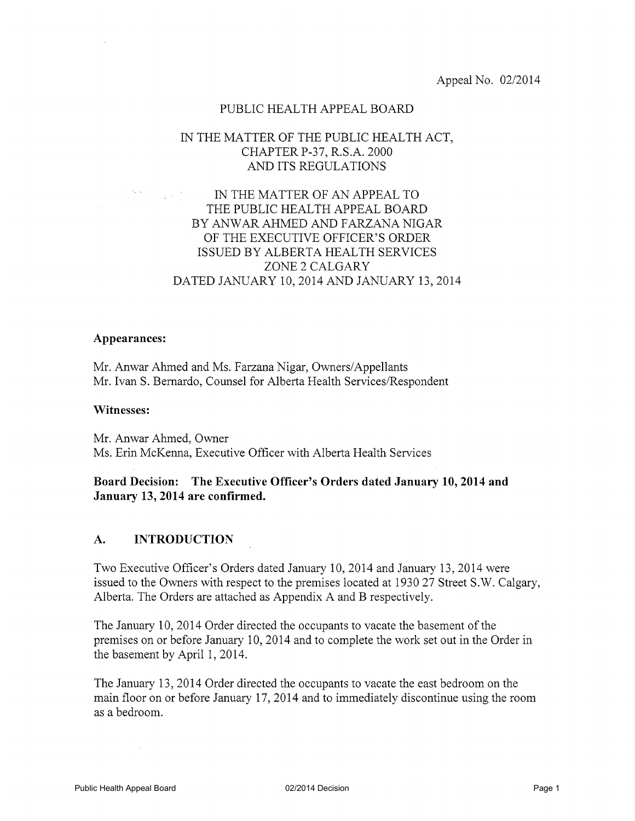# PUBLIC HEALTH APPEAL BOARD

# IN THE MATTER OF THE PUBLIC HEALTH ACT, CHAPTER P-37, R.S.A. 2000 AND ITS REGULATIONS

# IN THE MATTER OF AN APPEAL TO THE PUBLIC HEALTH APPEAL BOARD BY ANWAR AHMED AND FARZANA NIGAR OF THE EXECUTIVE OFFICER'S ORDER ISSUED BY ALBERTA HEALTH SERVICES ZONE 2 CALGARY DATED JANUARY 10, 2014 AND JANUARY 13, 2014

# Appearances:

Mr. Anwar Ahmed and Ms. Farzana Nigar, Owners/Appellants Mr. Ivan S. Bernardo, Counsel for Alberta Health Services/Respondent

### Witnesses:

Mr. Anwar Ahmed, Owner Ms. Erin McKenna, Executive Officer with Alberta Health Services

# Board Decision: The Executive Officer's Orders dated January 10, 2014 and January 13, 2014 are confirmed.

#### $\mathbf{A}$ . **INTRODUCTION**

Two Executive Officer's Orders dated January 10, 2014 and January 13, 2014 were issued to the Owners with respect to the premises located at 1930 27 Street S.W. Calgary, Alberta. The Orders are attached as Appendix A and B respectively.

The January 10, 2014 Order directed the occupants to vacate the basement of the premises on or before January 10, 2014 and to complete the work set out in the Order in the basement by April 1, 2014.

The January 13, 2014 Order directed the occupants to vacate the east bedroom on the main floor on or before January 17, 2014 and to immediately discontinue using the room as a bedroom.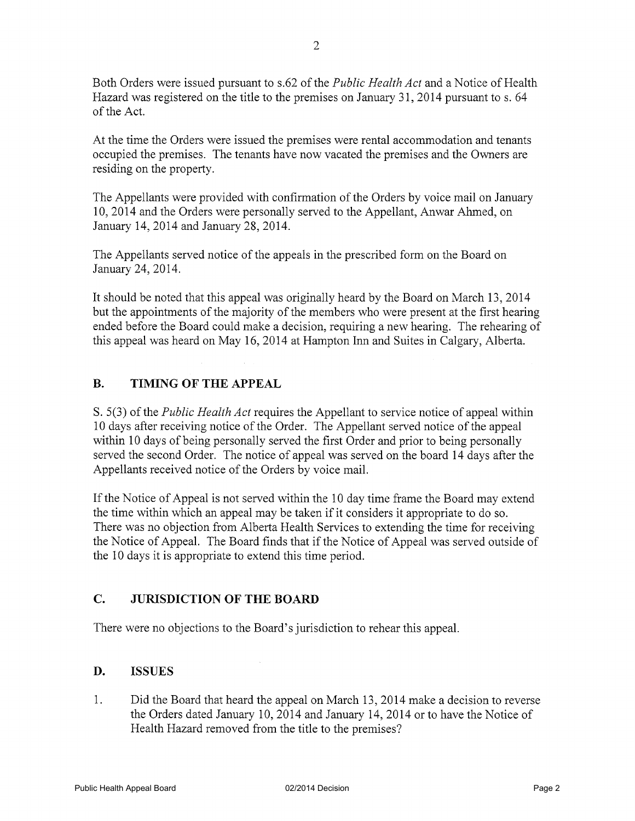Both Orders were issued pursuant to s.62 of the *Public Health Act* and a Notice of Health Hazard was registered on the title to the premises on January 31, 2014 pursuant to s. 64 of the Act.

At the time the Orders were issued the premises were rental accommodation and tenants occupied the premises. The tenants have now vacated the premises and the Owners are residing on the property.

The Appellants were provided with confirmation of the Orders by voice mail on January 10, 2014 and the Orders were personally served to the Appellant, Anwar Ahmed, on January 14, 2014 and January 28, 2014.

The Appellants served notice of the appeals in the prescribed form on the Board on January 24, 2014.

It should be noted that this appeal was originally heard by the Board on March 13, 2014 but the appointments of the majority of the members who were present at the first hearing ended before the Board could make a decision, requiring a new hearing. The rehearing of this appeal was heard on May 16, 2014 at Hampton Inn and Suites in Calgary, Alberta.

#### **B. TIMING OF THE APPEAL**

S. 5(3) of the *Public Health Act* requires the Appellant to service notice of appeal within 10 days after receiving notice of the Order. The Appellant served notice of the appeal within 10 days of being personally served the first Order and prior to being personally served the second Order. The notice of appeal was served on the board 14 days after the Appellants received notice of the Orders by voice mail.

If the Notice of Appeal is not served within the 10 day time frame the Board may extend the time within which an appeal may be taken if it considers it appropriate to do so. There was no objection from Alberta Health Services to extending the time for receiving the Notice of Appeal. The Board finds that if the Notice of Appeal was served outside of the 10 days it is appropriate to extend this time period.

#### $C_{\bullet}$ **JURISDICTION OF THE BOARD**

There were no objections to the Board's jurisdiction to rehear this appeal.

#### D. **ISSUES**

 $1_{-}$ Did the Board that heard the appeal on March 13, 2014 make a decision to reverse the Orders dated January 10, 2014 and January 14, 2014 or to have the Notice of Health Hazard removed from the title to the premises?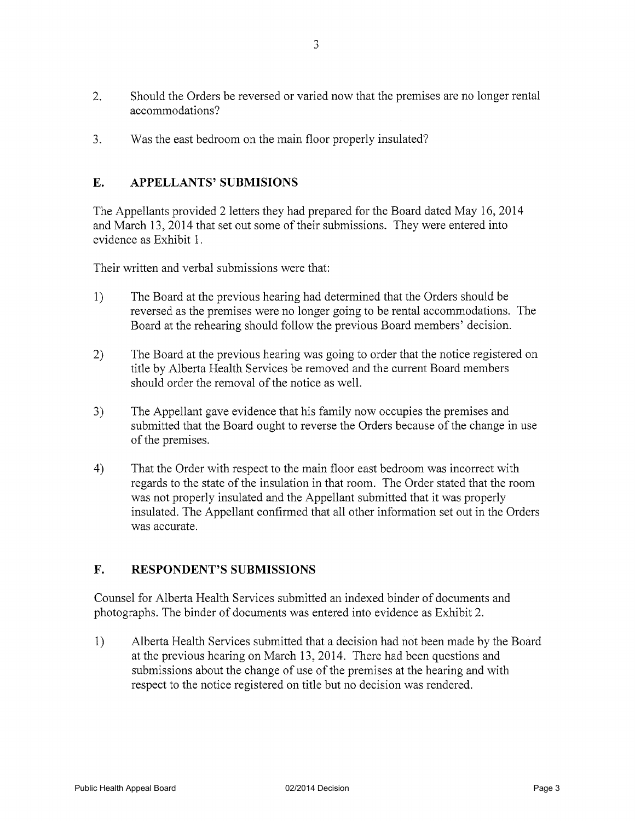- $2.$ Should the Orders be reversed or varied now that the premises are no longer rental accommodations?
- $3.$ Was the east bedroom on the main floor properly insulated?

#### E. **APPELLANTS' SUBMISIONS**

The Appellants provided 2 letters they had prepared for the Board dated May 16, 2014 and March 13, 2014 that set out some of their submissions. They were entered into evidence as Exhibit 1.

Their written and verbal submissions were that:

- $1)$ The Board at the previous hearing had determined that the Orders should be reversed as the premises were no longer going to be rental accommodations. The Board at the rehearing should follow the previous Board members' decision.
- $2)$ The Board at the previous hearing was going to order that the notice registered on title by Alberta Health Services be removed and the current Board members should order the removal of the notice as well.
- $3)$ The Appellant gave evidence that his family now occupies the premises and submitted that the Board ought to reverse the Orders because of the change in use of the premises.
- $4)$ That the Order with respect to the main floor east bedroom was incorrect with regards to the state of the insulation in that room. The Order stated that the room was not properly insulated and the Appellant submitted that it was properly insulated. The Appellant confirmed that all other information set out in the Orders was accurate.

#### $\mathbf{F}_{\cdot}$ **RESPONDENT'S SUBMISSIONS**

Counsel for Alberta Health Services submitted an indexed binder of documents and photographs. The binder of documents was entered into evidence as Exhibit 2.

Alberta Health Services submitted that a decision had not been made by the Board  $\left\{ \right\}$ at the previous hearing on March 13, 2014. There had been questions and submissions about the change of use of the premises at the hearing and with respect to the notice registered on title but no decision was rendered.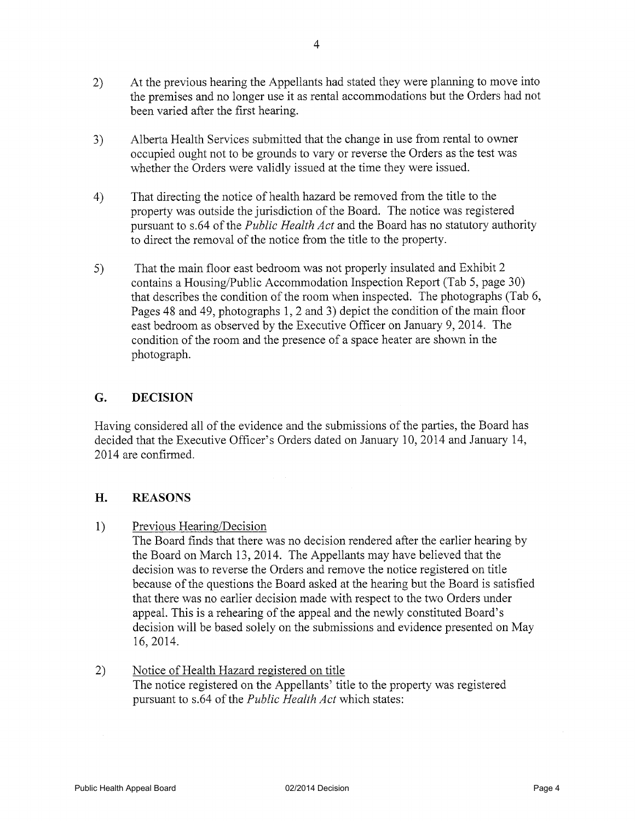- 2) At the previous hearing the Appellants had stated they were planning to move into the premises and no longer use it as rental accommodations but the Orders had not been varied after the first hearing.
- Alberta Health Services submitted that the change in use from rental to owner  $3)$ occupied ought not to be grounds to vary or reverse the Orders as the test was whether the Orders were validly issued at the time they were issued.
- That directing the notice of health hazard be removed from the title to the  $4)$ property was outside the jurisdiction of the Board. The notice was registered pursuant to s.64 of the *Public Health Act* and the Board has no statutory authority to direct the removal of the notice from the title to the property.
- That the main floor east bedroom was not properly insulated and Exhibit 2  $5)$ contains a Housing/Public Accommodation Inspection Report (Tab 5, page 30) that describes the condition of the room when inspected. The photographs (Tab 6, Pages 48 and 49, photographs 1, 2 and 3) depict the condition of the main floor east bedroom as observed by the Executive Officer on January 9, 2014. The condition of the room and the presence of a space heater are shown in the photograph.

#### G. **DECISION**

Having considered all of the evidence and the submissions of the parties, the Board has decided that the Executive Officer's Orders dated on January 10, 2014 and January 14, 2014 are confirmed.

#### H. **REASONS**

Previous Hearing/Decision  $1)$ 

The Board finds that there was no decision rendered after the earlier hearing by the Board on March 13, 2014. The Appellants may have believed that the decision was to reverse the Orders and remove the notice registered on title because of the questions the Board asked at the hearing but the Board is satisfied that there was no earlier decision made with respect to the two Orders under appeal. This is a rehearing of the appeal and the newly constituted Board's decision will be based solely on the submissions and evidence presented on May 16, 2014.

Notice of Health Hazard registered on title  $(2)$ The notice registered on the Appellants' title to the property was registered pursuant to s.64 of the *Public Health Act* which states: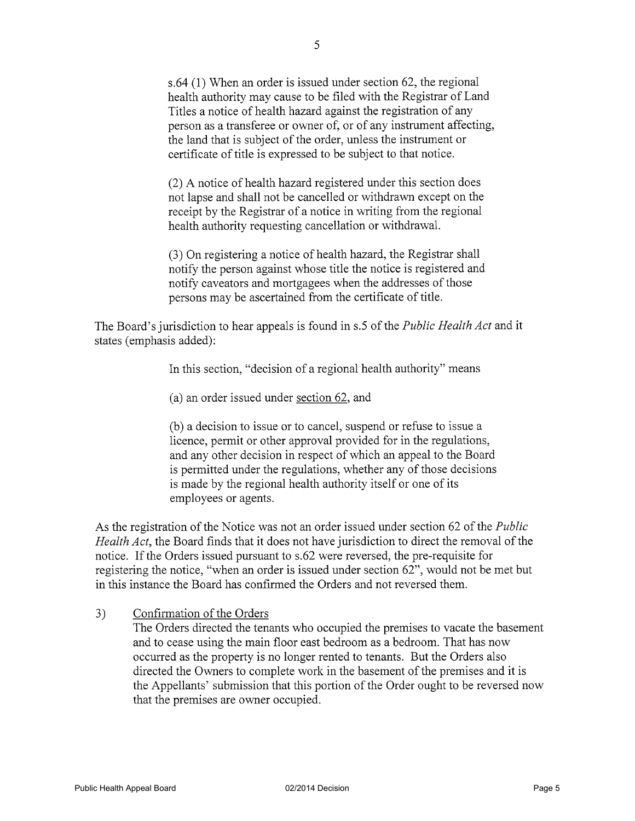$s.64$  (1) When an order is issued under section 62, the regional health authority may cause to be filed with the Registrar of Land Titles a notice of health hazard against the registration of any person as a transferee or owner of, or of any instrument affecting, the land that is subject of the order, unless the instrument or certificate of title is expressed to be subject to that notice.

(2) A notice of health hazard registered under this section does not lapse and shall not be cancelled or withdrawn except on the receipt by the Registrar of a notice in writing from the regional health authority requesting cancellation or withdrawal.

(3) On registering a notice of health hazard, the Registrar shall notify the person against whose title the notice is registered and notify caveators and mortgagees when the addresses of those persons may be ascertained from the certificate of title.

The Board's jurisdiction to hear appeals is found in s.5 of the *Public Health Act* and it states (emphasis added):

In this section, "decision of a regional health authority" means

(a) an order issued under section 62, and

(b) a decision to issue or to cancel, suspend or refuse to issue a licence, permit or other approval provided for in the regulations, and any other decision in respect of which an appeal to the Board is permitted under the regulations, whether any of those decisions is made by the regional health authority itself or one of its employees or agents.

As the registration of the Notice was not an order issued under section 62 of the *Public Health Act*, the Board finds that it does not have jurisdiction to direct the removal of the notice. If the Orders issued pursuant to s.62 were reversed, the pre-requisite for registering the notice, "when an order is issued under section 62", would not be met but in this instance the Board has confirmed the Orders and not reversed them.

#### Confirmation of the Orders  $3)$

The Orders directed the tenants who occupied the premises to vacate the basement and to cease using the main floor east bedroom as a bedroom. That has now occurred as the property is no longer rented to tenants. But the Orders also directed the Owners to complete work in the basement of the premises and it is the Appellants' submission that this portion of the Order ought to be reversed now that the premises are owner occupied.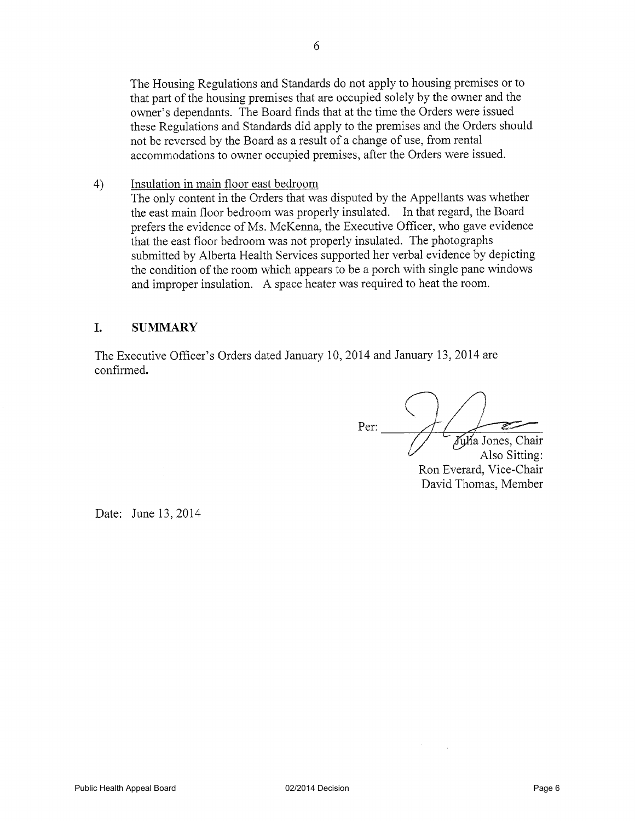The Housing Regulations and Standards do not apply to housing premises or to that part of the housing premises that are occupied solely by the owner and the owner's dependants. The Board finds that at the time the Orders were issued these Regulations and Standards did apply to the premises and the Orders should not be reversed by the Board as a result of a change of use, from rental accommodations to owner occupied premises, after the Orders were issued.

Insulation in main floor east bedroom The only content in the Orders that was disputed by the Appellants was whether the east main floor bedroom was properly insulated. In that regard, the Board prefers the evidence of Ms. McKenna, the Executive Officer, who gave evidence that the east floor bedroom was not properly insulated. The photographs submitted by Alberta Health Services supported her verbal evidence by depicting the condition of the room which appears to be a porch with single pane windows and improper insulation. A space heater was required to heat the room.

#### L. **SUMMARY**

 $4)$ 

The Executive Officer's Orders dated January 10, 2014 and January 13, 2014 are confirmed.

Per: Julia Jones, Chair Also Sitting: Ron Everard, Vice-Chair

David Thomas, Member

Date: June 13, 2014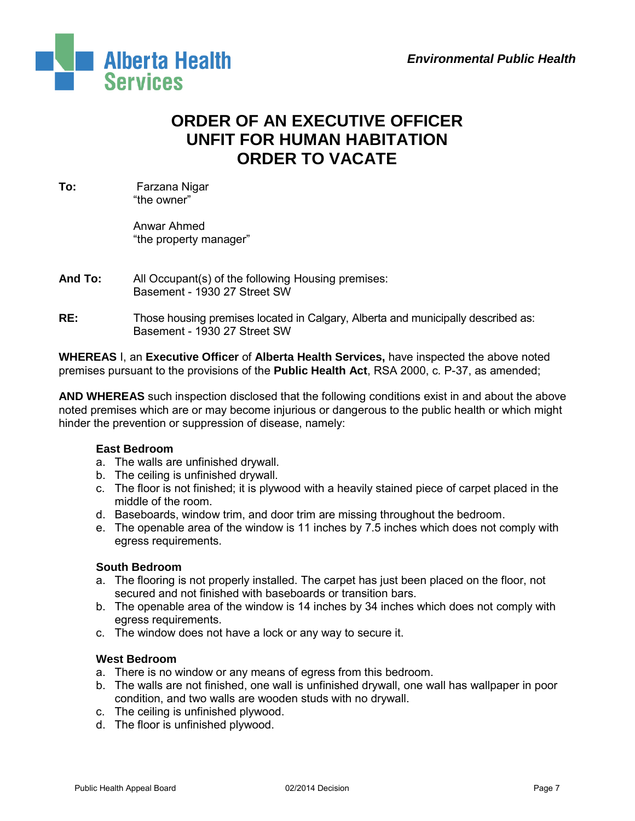

# **ORDER OF AN EXECUTIVE OFFICER UNFIT FOR HUMAN HABITATION ORDER TO VACATE**

**To:** Farzana Nigar "the owner"

> Anwar Ahmed "the property manager"

- **And To:** All Occupant(s) of the following Housing premises: Basement - 1930 27 Street SW
- **RE:** Those housing premises located in Calgary, Alberta and municipally described as: Basement - 1930 27 Street SW

**WHEREAS** I, an **Executive Officer** of **Alberta Health Services,** have inspected the above noted premises pursuant to the provisions of the **Public Health Act**, RSA 2000, c. P-37, as amended;

**AND WHEREAS** such inspection disclosed that the following conditions exist in and about the above noted premises which are or may become injurious or dangerous to the public health or which might hinder the prevention or suppression of disease, namely:

# **East Bedroom**

- a. The walls are unfinished drywall.
- b. The ceiling is unfinished drywall.
- c. The floor is not finished; it is plywood with a heavily stained piece of carpet placed in the middle of the room.
- d. Baseboards, window trim, and door trim are missing throughout the bedroom.
- e. The openable area of the window is 11 inches by 7.5 inches which does not comply with egress requirements.

# **South Bedroom**

- a. The flooring is not properly installed. The carpet has just been placed on the floor, not secured and not finished with baseboards or transition bars.
- b. The openable area of the window is 14 inches by 34 inches which does not comply with egress requirements.
- c. The window does not have a lock or any way to secure it.

# **West Bedroom**

- a. There is no window or any means of egress from this bedroom.
- b. The walls are not finished, one wall is unfinished drywall, one wall has wallpaper in poor condition, and two walls are wooden studs with no drywall.
- c. The ceiling is unfinished plywood.
- d. The floor is unfinished plywood.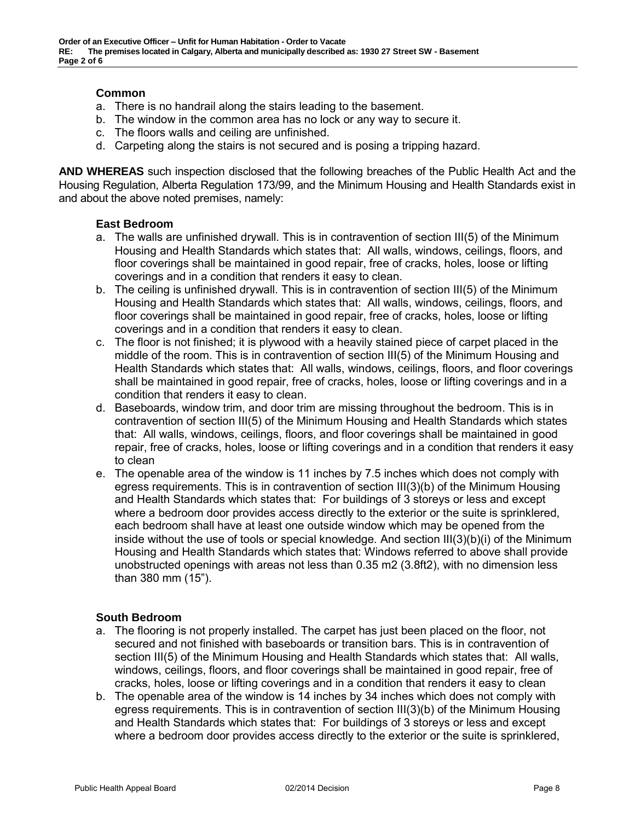# **Common**

- a. There is no handrail along the stairs leading to the basement.
- b. The window in the common area has no lock or any way to secure it.
- c. The floors walls and ceiling are unfinished.
- d. Carpeting along the stairs is not secured and is posing a tripping hazard.

**AND WHEREAS** such inspection disclosed that the following breaches of the Public Health Act and the Housing Regulation, Alberta Regulation 173/99, and the Minimum Housing and Health Standards exist in and about the above noted premises, namely:

# **East Bedroom**

- a. The walls are unfinished drywall. This is in contravention of section III(5) of the Minimum Housing and Health Standards which states that: All walls, windows, ceilings, floors, and floor coverings shall be maintained in good repair, free of cracks, holes, loose or lifting coverings and in a condition that renders it easy to clean.
- b. The ceiling is unfinished drywall. This is in contravention of section III(5) of the Minimum Housing and Health Standards which states that: All walls, windows, ceilings, floors, and floor coverings shall be maintained in good repair, free of cracks, holes, loose or lifting coverings and in a condition that renders it easy to clean.
- c. The floor is not finished; it is plywood with a heavily stained piece of carpet placed in the middle of the room. This is in contravention of section III(5) of the Minimum Housing and Health Standards which states that: All walls, windows, ceilings, floors, and floor coverings shall be maintained in good repair, free of cracks, holes, loose or lifting coverings and in a condition that renders it easy to clean.
- d. Baseboards, window trim, and door trim are missing throughout the bedroom. This is in contravention of section III(5) of the Minimum Housing and Health Standards which states that: All walls, windows, ceilings, floors, and floor coverings shall be maintained in good repair, free of cracks, holes, loose or lifting coverings and in a condition that renders it easy to clean
- e. The openable area of the window is 11 inches by 7.5 inches which does not comply with egress requirements. This is in contravention of section III(3)(b) of the Minimum Housing and Health Standards which states that: For buildings of 3 storeys or less and except where a bedroom door provides access directly to the exterior or the suite is sprinklered, each bedroom shall have at least one outside window which may be opened from the inside without the use of tools or special knowledge. And section III(3)(b)(i) of the Minimum Housing and Health Standards which states that: Windows referred to above shall provide unobstructed openings with areas not less than 0.35 m2 (3.8ft2), with no dimension less than 380 mm (15").

# **South Bedroom**

- a. The flooring is not properly installed. The carpet has just been placed on the floor, not secured and not finished with baseboards or transition bars. This is in contravention of section III(5) of the Minimum Housing and Health Standards which states that: All walls, windows, ceilings, floors, and floor coverings shall be maintained in good repair, free of cracks, holes, loose or lifting coverings and in a condition that renders it easy to clean
- b. The openable area of the window is 14 inches by 34 inches which does not comply with egress requirements. This is in contravention of section III(3)(b) of the Minimum Housing and Health Standards which states that: For buildings of 3 storeys or less and except where a bedroom door provides access directly to the exterior or the suite is sprinklered,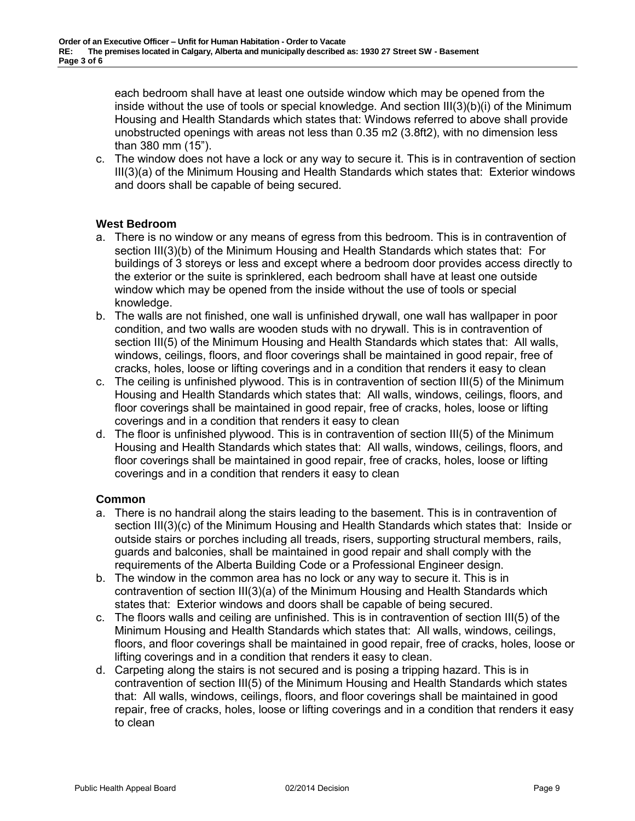each bedroom shall have at least one outside window which may be opened from the inside without the use of tools or special knowledge. And section III(3)(b)(i) of the Minimum Housing and Health Standards which states that: Windows referred to above shall provide unobstructed openings with areas not less than 0.35 m2 (3.8ft2), with no dimension less than 380 mm (15").

c. The window does not have a lock or any way to secure it. This is in contravention of section III(3)(a) of the Minimum Housing and Health Standards which states that: Exterior windows and doors shall be capable of being secured.

# **West Bedroom**

- a. There is no window or any means of egress from this bedroom. This is in contravention of section III(3)(b) of the Minimum Housing and Health Standards which states that: For buildings of 3 storeys or less and except where a bedroom door provides access directly to the exterior or the suite is sprinklered, each bedroom shall have at least one outside window which may be opened from the inside without the use of tools or special knowledge.
- b. The walls are not finished, one wall is unfinished drywall, one wall has wallpaper in poor condition, and two walls are wooden studs with no drywall. This is in contravention of section III(5) of the Minimum Housing and Health Standards which states that: All walls, windows, ceilings, floors, and floor coverings shall be maintained in good repair, free of cracks, holes, loose or lifting coverings and in a condition that renders it easy to clean
- c. The ceiling is unfinished plywood. This is in contravention of section III(5) of the Minimum Housing and Health Standards which states that: All walls, windows, ceilings, floors, and floor coverings shall be maintained in good repair, free of cracks, holes, loose or lifting coverings and in a condition that renders it easy to clean
- d. The floor is unfinished plywood. This is in contravention of section III(5) of the Minimum Housing and Health Standards which states that: All walls, windows, ceilings, floors, and floor coverings shall be maintained in good repair, free of cracks, holes, loose or lifting coverings and in a condition that renders it easy to clean

# **Common**

- a. There is no handrail along the stairs leading to the basement. This is in contravention of section III(3)(c) of the Minimum Housing and Health Standards which states that: Inside or outside stairs or porches including all treads, risers, supporting structural members, rails, guards and balconies, shall be maintained in good repair and shall comply with the requirements of the Alberta Building Code or a Professional Engineer design.
- b. The window in the common area has no lock or any way to secure it. This is in contravention of section III(3)(a) of the Minimum Housing and Health Standards which states that: Exterior windows and doors shall be capable of being secured.
- c. The floors walls and ceiling are unfinished. This is in contravention of section III(5) of the Minimum Housing and Health Standards which states that: All walls, windows, ceilings, floors, and floor coverings shall be maintained in good repair, free of cracks, holes, loose or lifting coverings and in a condition that renders it easy to clean.
- d. Carpeting along the stairs is not secured and is posing a tripping hazard. This is in contravention of section III(5) of the Minimum Housing and Health Standards which states that: All walls, windows, ceilings, floors, and floor coverings shall be maintained in good repair, free of cracks, holes, loose or lifting coverings and in a condition that renders it easy to clean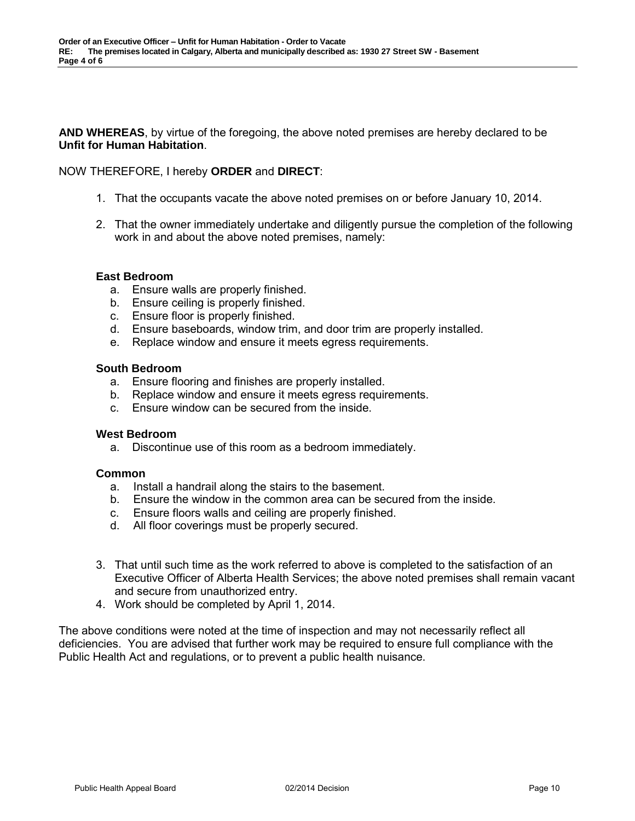**AND WHEREAS**, by virtue of the foregoing, the above noted premises are hereby declared to be **Unfit for Human Habitation**.

## NOW THEREFORE, I hereby **ORDER** and **DIRECT**:

- 1. That the occupants vacate the above noted premises on or before January 10, 2014.
- 2. That the owner immediately undertake and diligently pursue the completion of the following work in and about the above noted premises, namely:

### **East Bedroom**

- a. Ensure walls are properly finished.
- b. Ensure ceiling is properly finished.
- c. Ensure floor is properly finished.
- d. Ensure baseboards, window trim, and door trim are properly installed.
- e. Replace window and ensure it meets egress requirements.

### **South Bedroom**

- a. Ensure flooring and finishes are properly installed.
- b. Replace window and ensure it meets egress requirements.
- c. Ensure window can be secured from the inside.

### **West Bedroom**

a. Discontinue use of this room as a bedroom immediately.

### **Common**

- a. Install a handrail along the stairs to the basement.
- b. Ensure the window in the common area can be secured from the inside.
- c. Ensure floors walls and ceiling are properly finished.
- d. All floor coverings must be properly secured.
- 3. That until such time as the work referred to above is completed to the satisfaction of an Executive Officer of Alberta Health Services; the above noted premises shall remain vacant and secure from unauthorized entry.
- 4. Work should be completed by April 1, 2014.

The above conditions were noted at the time of inspection and may not necessarily reflect all deficiencies. You are advised that further work may be required to ensure full compliance with the Public Health Act and regulations, or to prevent a public health nuisance.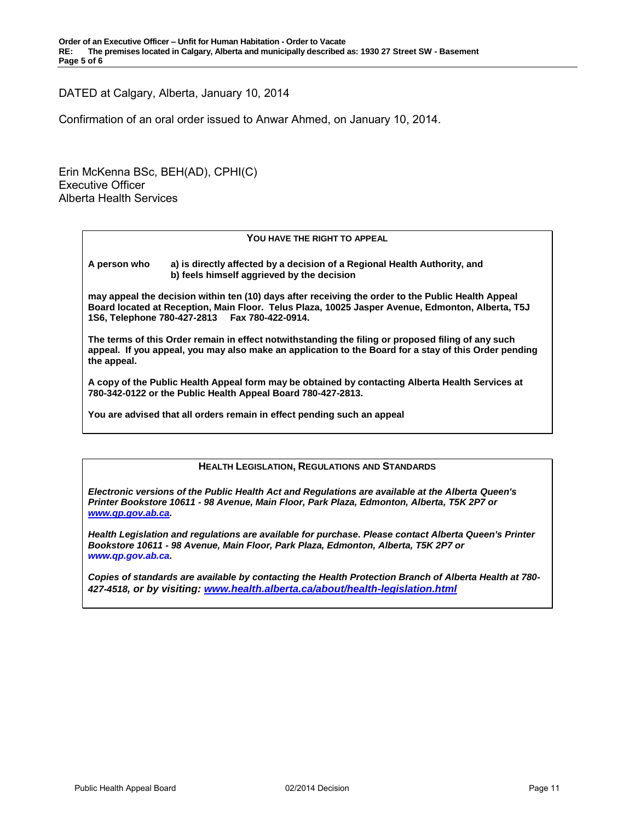DATED at Calgary, Alberta, January 10, 2014

Confirmation of an oral order issued to Anwar Ahmed, on January 10, 2014.

Erin McKenna BSc, BEH(AD), CPHI(C) Executive Officer Alberta Health Services

### **YOU HAVE THE RIGHT TO APPEAL**

**A person who a) is directly affected by a decision of a Regional Health Authority, and b) feels himself aggrieved by the decision** 

**may appeal the decision within ten (10) days after receiving the order to the Public Health Appeal Board located at Reception, Main Floor. Telus Plaza, 10025 Jasper Avenue, Edmonton, Alberta, T5J 1S6, Telephone 780-427-2813 Fax 780-422-0914.** 

**The terms of this Order remain in effect notwithstanding the filing or proposed filing of any such appeal. If you appeal, you may also make an application to the Board for a stay of this Order pending the appeal.** 

**A copy of the Public Health Appeal form may be obtained by contacting Alberta Health Services at 780-342-0122 or the Public Health Appeal Board 780-427-2813.**

**You are advised that all orders remain in effect pending such an appeal**

### **HEALTH LEGISLATION, REGULATIONS AND STANDARDS**

*Electronic versions of the Public Health Act and Regulations are available at the Alberta Queen's Printer Bookstore 10611 - 98 Avenue, Main Floor, Park Plaza, Edmonton, Alberta, T5K 2P7 or [www.qp.gov.ab.ca.](http://www.qp.gov.ab.ca/)* 

*Health Legislation and regulations are available for purchase. Please contact Alberta Queen's Printer Bookstore 10611 - 98 Avenue, Main Floor, Park Plaza, Edmonton, Alberta, T5K 2P7 or www.qp.gov.ab.ca.* 

*Copies of standards are available by contacting the Health Protection Branch of Alberta Health at 780- 427-4518, or by visiting: [www.health.alberta.ca/about/health-legislation.html](http://www.health.alberta.ca/about/health-legislation.html)*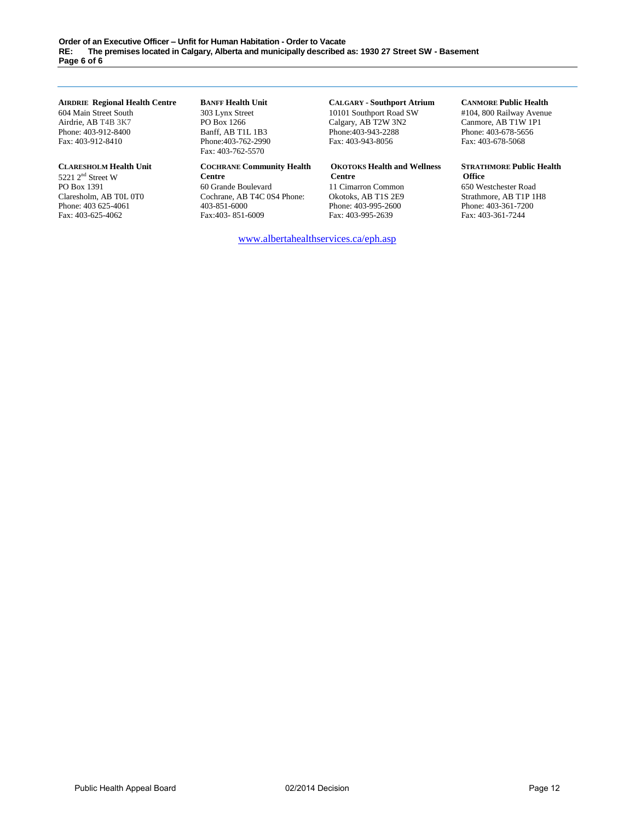#### **AIRDRIE Regional Health Centre**

604 Main Street South Airdrie, AB T4B 3K7 Phone: 403-912-8400 Fax: 403-912-8410

#### **CLARESHOLM Health Unit**

5221 2<sup>nd</sup> Street W PO Box 1391 Claresholm, AB T0L 0T0 Phone: 403 625-4061 Fax: 403-625-4062

#### **BANFF Health Unit**

303 Lynx Street PO Box 1266 Banff, AB T1L 1B3 Phone:403-762-2990 Fax: 403-762-5570

#### **COCHRANE Community Health**

**Centre** 60 Grande Boulevard Cochrane, AB T4C 0S4 Phone: 403-851-6000 Fax:403- 851-6009

# **CALGARY - Southport Atrium**

10101 Southport Road SW Calgary, AB T2W 3N2 Phone:403-943-2288 Fax: 403-943-8056

#### **OKOTOKS Health and Wellness Centre**

11 Cimarron Common Okotoks, AB T1S 2E9 Phone: 403-995-2600 Fax: 403-995-2639

[www.albertahealthservices.ca/eph.asp](http://www.albertahealthservices.ca/eph.asp)

## **CANMORE Public Health**

#104, 800 Railway Avenue Canmore, AB T1W 1P1 Phone: 403-678-5656 Fax: 403-678-5068

#### **STRATHMORE Public Health Office**

650 Westchester Road Strathmore, AB T1P 1H8 Phone: 403-361-7200 Fax: 403-361-7244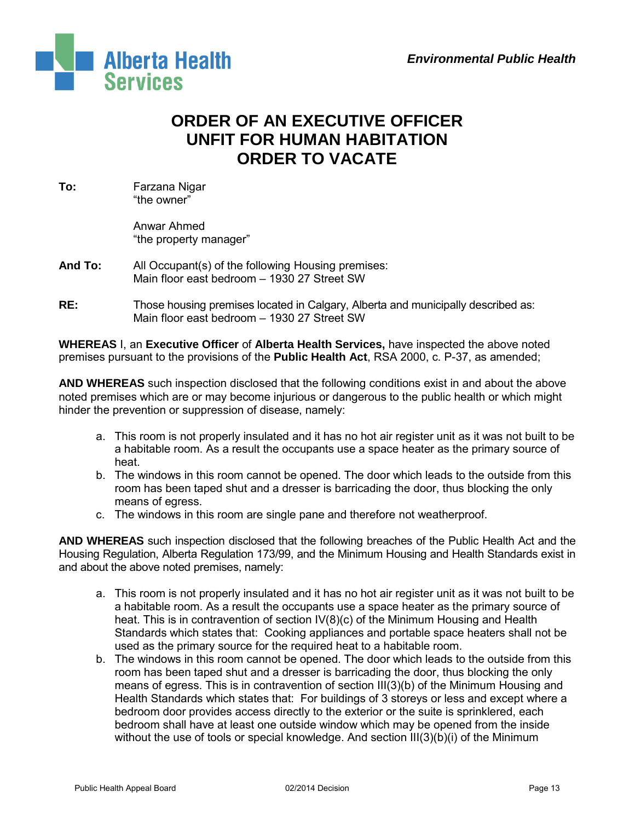

# **ORDER OF AN EXECUTIVE OFFICER UNFIT FOR HUMAN HABITATION ORDER TO VACATE**

**To:** Farzana Nigar "the owner"

> Anwar Ahmed "the property manager"

- **And To:** All Occupant(s) of the following Housing premises: Main floor east bedroom – 1930 27 Street SW
- **RE:** Those housing premises located in Calgary, Alberta and municipally described as: Main floor east bedroom – 1930 27 Street SW

**WHEREAS** I, an **Executive Officer** of **Alberta Health Services,** have inspected the above noted premises pursuant to the provisions of the **Public Health Act**, RSA 2000, c. P-37, as amended;

**AND WHEREAS** such inspection disclosed that the following conditions exist in and about the above noted premises which are or may become injurious or dangerous to the public health or which might hinder the prevention or suppression of disease, namely:

- a. This room is not properly insulated and it has no hot air register unit as it was not built to be a habitable room. As a result the occupants use a space heater as the primary source of heat.
- b. The windows in this room cannot be opened. The door which leads to the outside from this room has been taped shut and a dresser is barricading the door, thus blocking the only means of egress.
- c. The windows in this room are single pane and therefore not weatherproof.

**AND WHEREAS** such inspection disclosed that the following breaches of the Public Health Act and the Housing Regulation, Alberta Regulation 173/99, and the Minimum Housing and Health Standards exist in and about the above noted premises, namely:

- a. This room is not properly insulated and it has no hot air register unit as it was not built to be a habitable room. As a result the occupants use a space heater as the primary source of heat. This is in contravention of section IV(8)(c) of the Minimum Housing and Health Standards which states that: Cooking appliances and portable space heaters shall not be used as the primary source for the required heat to a habitable room.
- b. The windows in this room cannot be opened. The door which leads to the outside from this room has been taped shut and a dresser is barricading the door, thus blocking the only means of egress. This is in contravention of section III(3)(b) of the Minimum Housing and Health Standards which states that: For buildings of 3 storeys or less and except where a bedroom door provides access directly to the exterior or the suite is sprinklered, each bedroom shall have at least one outside window which may be opened from the inside without the use of tools or special knowledge. And section III(3)(b)(i) of the Minimum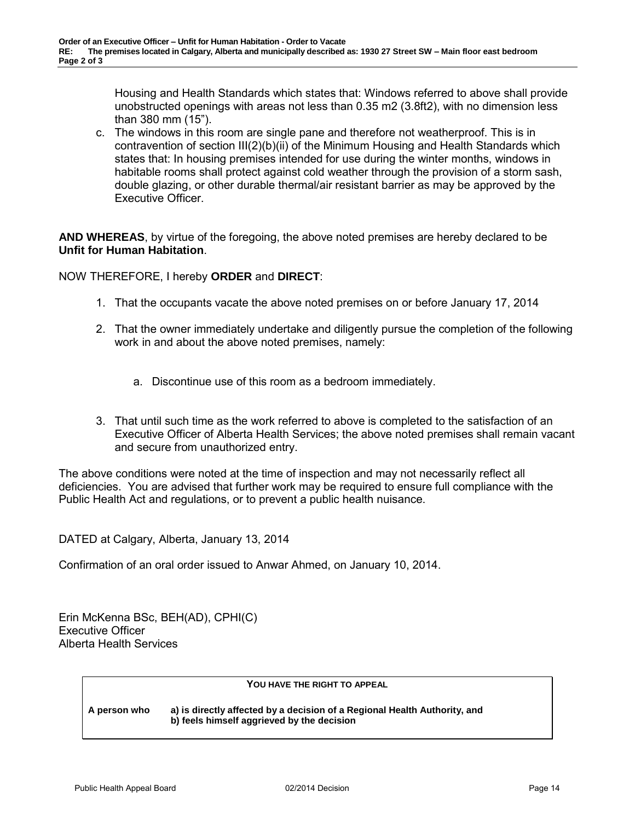Housing and Health Standards which states that: Windows referred to above shall provide unobstructed openings with areas not less than 0.35 m2 (3.8ft2), with no dimension less than 380 mm (15").

c. The windows in this room are single pane and therefore not weatherproof. This is in contravention of section III(2)(b)(ii) of the Minimum Housing and Health Standards which states that: In housing premises intended for use during the winter months, windows in habitable rooms shall protect against cold weather through the provision of a storm sash, double glazing, or other durable thermal/air resistant barrier as may be approved by the Executive Officer.

**AND WHEREAS**, by virtue of the foregoing, the above noted premises are hereby declared to be **Unfit for Human Habitation**.

NOW THEREFORE, I hereby **ORDER** and **DIRECT**:

- 1. That the occupants vacate the above noted premises on or before January 17, 2014
- 2. That the owner immediately undertake and diligently pursue the completion of the following work in and about the above noted premises, namely:
	- a. Discontinue use of this room as a bedroom immediately.
- 3. That until such time as the work referred to above is completed to the satisfaction of an Executive Officer of Alberta Health Services; the above noted premises shall remain vacant and secure from unauthorized entry.

The above conditions were noted at the time of inspection and may not necessarily reflect all deficiencies. You are advised that further work may be required to ensure full compliance with the Public Health Act and regulations, or to prevent a public health nuisance.

DATED at Calgary, Alberta, January 13, 2014

Confirmation of an oral order issued to Anwar Ahmed, on January 10, 2014.

Erin McKenna BSc, BEH(AD), CPHI(C) Executive Officer Alberta Health Services

### **YOU HAVE THE RIGHT TO APPEAL**

**A person who a) is directly affected by a decision of a Regional Health Authority, and b) feels himself aggrieved by the decision**